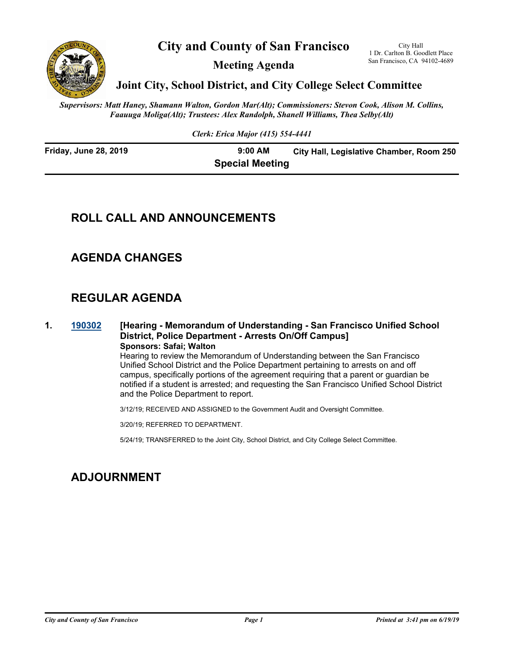

**City and County of San Francisco**

**Meeting Agenda**

City Hall 1 Dr. Carlton B. Goodlett Place San Francisco, CA 94102-4689

**Joint City, School District, and City College Select Committee**

*Supervisors: Matt Haney, Shamann Walton, Gordon Mar(Alt); Commissioners: Stevon Cook, Alison M. Collins, Faauuga Moliga(Alt); Trustees: Alex Randolph, Shanell Williams, Thea Selby(Alt)*

*Clerk: Erica Major (415) 554-4441*

**Friday, June 28, 2019 9:00 AM City Hall, Legislative Chamber, Room 250 Special Meeting**

## **ROLL CALL AND ANNOUNCEMENTS**

# **AGENDA CHANGES**

## **REGULAR AGENDA**

#### **1. [190302](http://sfgov.legistar.com/gateway.aspx?m=l&id=34423) [Hearing - Memorandum of Understanding - San Francisco Unified School District, Police Department - Arrests On/Off Campus] Sponsors: Safai; Walton**

Hearing to review the Memorandum of Understanding between the San Francisco Unified School District and the Police Department pertaining to arrests on and off campus, specifically portions of the agreement requiring that a parent or guardian be notified if a student is arrested; and requesting the San Francisco Unified School District and the Police Department to report.

3/12/19; RECEIVED AND ASSIGNED to the Government Audit and Oversight Committee.

3/20/19; REFERRED TO DEPARTMENT.

5/24/19; TRANSFERRED to the Joint City, School District, and City College Select Committee.

# **ADJOURNMENT**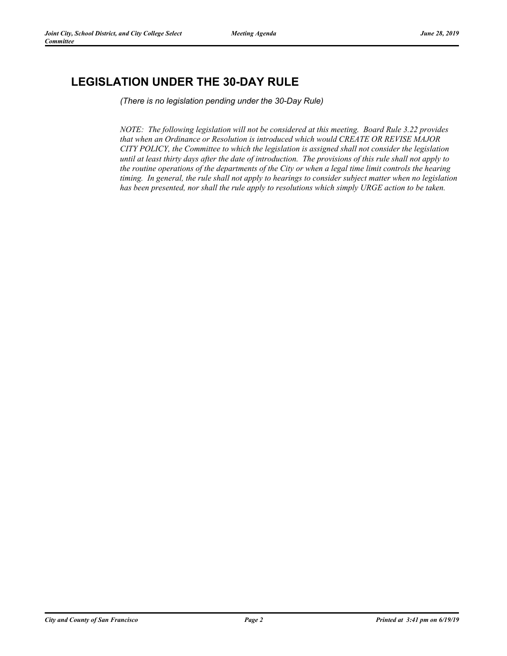# **LEGISLATION UNDER THE 30-DAY RULE**

*(There is no legislation pending under the 30-Day Rule)*

*NOTE: The following legislation will not be considered at this meeting. Board Rule 3.22 provides that when an Ordinance or Resolution is introduced which would CREATE OR REVISE MAJOR CITY POLICY, the Committee to which the legislation is assigned shall not consider the legislation until at least thirty days after the date of introduction. The provisions of this rule shall not apply to the routine operations of the departments of the City or when a legal time limit controls the hearing timing. In general, the rule shall not apply to hearings to consider subject matter when no legislation has been presented, nor shall the rule apply to resolutions which simply URGE action to be taken.*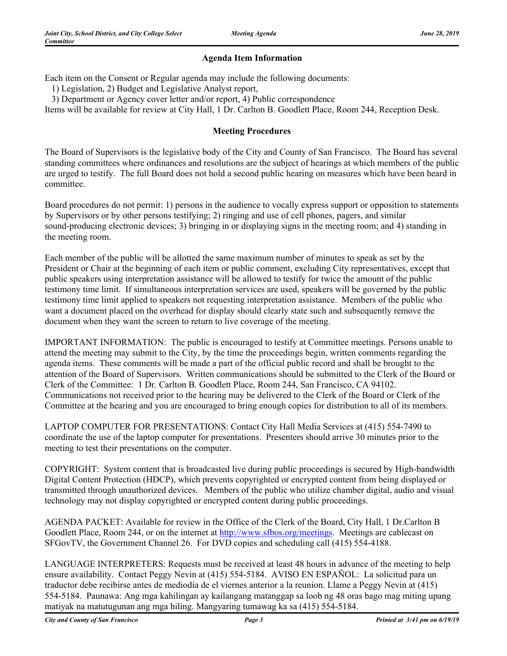### **Agenda Item Information**

Each item on the Consent or Regular agenda may include the following documents:

1) Legislation, 2) Budget and Legislative Analyst report,

3) Department or Agency cover letter and/or report, 4) Public correspondence

Items will be available for review at City Hall, 1 Dr. Carlton B. Goodlett Place, Room 244, Reception Desk.

#### **Meeting Procedures**

The Board of Supervisors is the legislative body of the City and County of San Francisco. The Board has several standing committees where ordinances and resolutions are the subject of hearings at which members of the public are urged to testify. The full Board does not hold a second public hearing on measures which have been heard in committee.

Board procedures do not permit: 1) persons in the audience to vocally express support or opposition to statements by Supervisors or by other persons testifying; 2) ringing and use of cell phones, pagers, and similar sound-producing electronic devices; 3) bringing in or displaying signs in the meeting room; and 4) standing in the meeting room.

Each member of the public will be allotted the same maximum number of minutes to speak as set by the President or Chair at the beginning of each item or public comment, excluding City representatives, except that public speakers using interpretation assistance will be allowed to testify for twice the amount of the public testimony time limit. If simultaneous interpretation services are used, speakers will be governed by the public testimony time limit applied to speakers not requesting interpretation assistance. Members of the public who want a document placed on the overhead for display should clearly state such and subsequently remove the document when they want the screen to return to live coverage of the meeting.

IMPORTANT INFORMATION: The public is encouraged to testify at Committee meetings. Persons unable to attend the meeting may submit to the City, by the time the proceedings begin, written comments regarding the agenda items. These comments will be made a part of the official public record and shall be brought to the attention of the Board of Supervisors. Written communications should be submitted to the Clerk of the Board or Clerk of the Committee: 1 Dr. Carlton B. Goodlett Place, Room 244, San Francisco, CA 94102. Communications not received prior to the hearing may be delivered to the Clerk of the Board or Clerk of the Committee at the hearing and you are encouraged to bring enough copies for distribution to all of its members.

LAPTOP COMPUTER FOR PRESENTATIONS: Contact City Hall Media Services at (415) 554-7490 to coordinate the use of the laptop computer for presentations. Presenters should arrive 30 minutes prior to the meeting to test their presentations on the computer.

COPYRIGHT: System content that is broadcasted live during public proceedings is secured by High-bandwidth Digital Content Protection (HDCP), which prevents copyrighted or encrypted content from being displayed or transmitted through unauthorized devices. Members of the public who utilize chamber digital, audio and visual technology may not display copyrighted or encrypted content during public proceedings.

AGENDA PACKET: Available for review in the Office of the Clerk of the Board, City Hall, 1 Dr.Carlton B Goodlett Place, Room 244, or on the internet at http://www.sfbos.org/meetings. Meetings are cablecast on SFGovTV, the Government Channel 26. For DVD copies and scheduling call (415) 554-4188.

LANGUAGE INTERPRETERS: Requests must be received at least 48 hours in advance of the meeting to help ensure availability. Contact Peggy Nevin at (415) 554-5184. AVISO EN ESPAÑOL: La solicitud para un traductor debe recibirse antes de mediodía de el viernes anterior a la reunion. Llame a Peggy Nevin at (415) 554-5184. Paunawa: Ang mga kahilingan ay kailangang matanggap sa loob ng 48 oras bago mag miting upang matiyak na matutugunan ang mga hiling. Mangyaring tumawag ka sa (415) 554-5184.